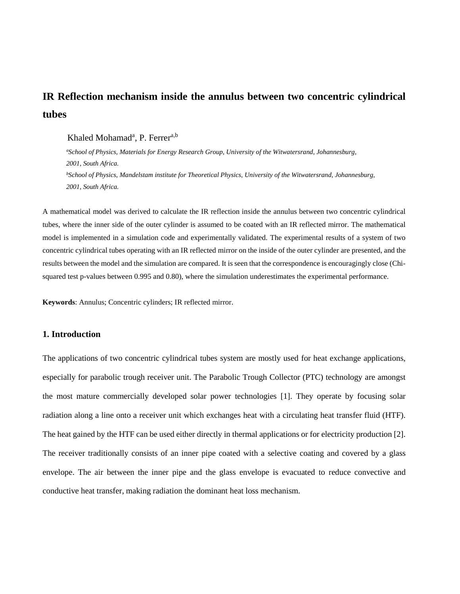# **IR Reflection mechanism inside the annulus between two concentric cylindrical tubes**

# Khaled Mohamad<sup>a</sup>, P. Ferrer<sup>a,b</sup>

 *a School of Physics, Materials for Energy Research Group, University of the Witwatersrand, Johannesburg, 2001, South Africa. b School of Physics, Mandelstam institute for Theoretical Physics, University of the Witwatersrand, Johannesburg, 2001, South Africa.*

A mathematical model was derived to calculate the IR reflection inside the annulus between two concentric cylindrical tubes, where the inner side of the outer cylinder is assumed to be coated with an IR reflected mirror. The mathematical model is implemented in a simulation code and experimentally validated. The experimental results of a system of two concentric cylindrical tubes operating with an IR reflected mirror on the inside of the outer cylinder are presented, and the results between the model and the simulation are compared. It is seen that the correspondence is encouragingly close (Chisquared test p-values between 0.995 and 0.80), where the simulation underestimates the experimental performance.

**Keywords**: Annulus; Concentric cylinders; IR reflected mirror.

# **1. Introduction**

The applications of two concentric cylindrical tubes system are mostly used for heat exchange applications, especially for parabolic trough receiver unit. The Parabolic Trough Collector (PTC) technology are amongst the most mature commercially developed solar power technologies [1]. They operate by focusing solar radiation along a line onto a receiver unit which exchanges heat with a circulating heat transfer fluid (HTF). The heat gained by the HTF can be used either directly in thermal applications or for electricity production [2]. The receiver traditionally consists of an inner pipe coated with a selective coating and covered by a glass envelope. The air between the inner pipe and the glass envelope is evacuated to reduce convective and conductive heat transfer, making radiation the dominant heat loss mechanism.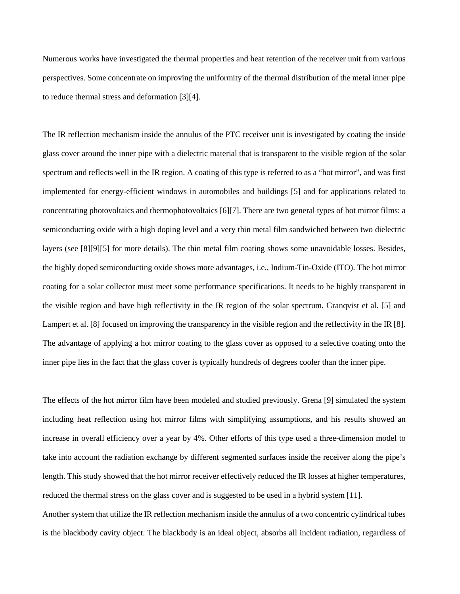Numerous works have investigated the thermal properties and heat retention of the receiver unit from various perspectives. Some concentrate on improving the uniformity of the thermal distribution of the metal inner pipe to reduce thermal stress and deformation [3][4].

The IR reflection mechanism inside the annulus of the PTC receiver unit is investigated by coating the inside glass cover around the inner pipe with a dielectric material that is transparent to the visible region of the solar spectrum and reflects well in the IR region. A coating of this type is referred to as a "hot mirror", and was first implemented for energy-efficient windows in automobiles and buildings [5] and for applications related to concentrating photovoltaics and thermophotovoltaics [6][7]. There are two general types of hot mirror films: a semiconducting oxide with a high doping level and a very thin metal film sandwiched between two dielectric layers (see [8][9][5] for more details). The thin metal film coating shows some unavoidable losses. Besides, the highly doped semiconducting oxide shows more advantages, i.e., Indium-Tin-Oxide (ITO). The hot mirror coating for a solar collector must meet some performance specifications. It needs to be highly transparent in the visible region and have high reflectivity in the IR region of the solar spectrum. Granqvist et al. [5] and Lampert et al. [8] focused on improving the transparency in the visible region and the reflectivity in the IR [8]. The advantage of applying a hot mirror coating to the glass cover as opposed to a selective coating onto the inner pipe lies in the fact that the glass cover is typically hundreds of degrees cooler than the inner pipe.

The effects of the hot mirror film have been modeled and studied previously. Grena [9] simulated the system including heat reflection using hot mirror films with simplifying assumptions, and his results showed an increase in overall efficiency over a year by 4%. Other efforts of this type used a three-dimension model to take into account the radiation exchange by different segmented surfaces inside the receiver along the pipe's length. This study showed that the hot mirror receiver effectively reduced the IR losses at higher temperatures, reduced the thermal stress on the glass cover and is suggested to be used in a hybrid system [11]. Another system that utilize the IR reflection mechanism inside the annulus of a two concentric cylindrical tubes is the blackbody cavity object. The blackbody is an ideal object, absorbs all incident radiation, regardless of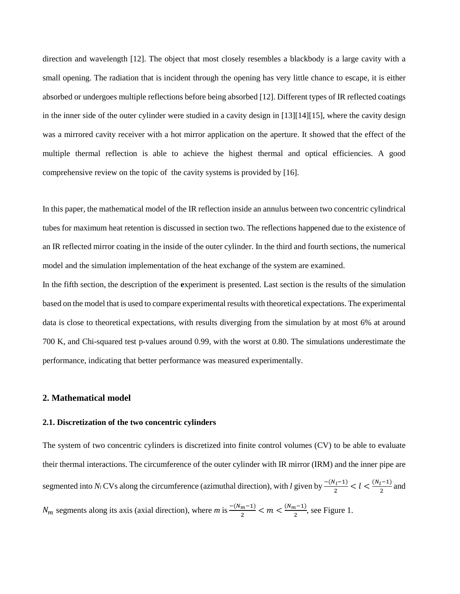direction and wavelength [12]. The object that most closely resembles a blackbody is a large cavity with a small opening. The radiation that is incident through the opening has very little chance to escape, it is either absorbed or undergoes multiple reflections before being absorbed [12]. Different types of IR reflected coatings in the inner side of the outer cylinder were studied in a cavity design in [13][14][15], where the cavity design was a mirrored cavity receiver with a hot mirror application on the aperture. It showed that the effect of the multiple thermal reflection is able to achieve the highest thermal and optical efficiencies. A good comprehensive review on the topic of the cavity systems is provided by [16].

In this paper, the mathematical model of the IR reflection inside an annulus between two concentric cylindrical tubes for maximum heat retention is discussed in section two. The reflections happened due to the existence of an IR reflected mirror coating in the inside of the outer cylinder. In the third and fourth sections, the numerical model and the simulation implementation of the heat exchange of the system are examined.

In the fifth section, the description of the **e**xperiment is presented. Last section is the results of the simulation based on the model that is used to compare experimental results with theoretical expectations. The experimental data is close to theoretical expectations, with results diverging from the simulation by at most 6% at around 700 K, and Chi-squared test p-values around 0.99, with the worst at 0.80. The simulations underestimate the performance, indicating that better performance was measured experimentally.

## **2. Mathematical model**

#### **2.1. Discretization of the two concentric cylinders**

The system of two concentric cylinders is discretized into finite control volumes (CV) to be able to evaluate their thermal interactions. The circumference of the outer cylinder with IR mirror (IRM) and the inner pipe are segmented into *N<sub>l</sub>* CVs along the circumference (azimuthal direction), with *l* given by  $\frac{-(N_l-1)}{2} < l < \frac{(N_l-1)}{2}$  and  $N_m$  segments along its axis (axial direction), where  $m$  is  $\frac{-(N_m-1)}{2} < m < \frac{(N_m-1)}{2}$ , see [Figure 1.](#page-3-0)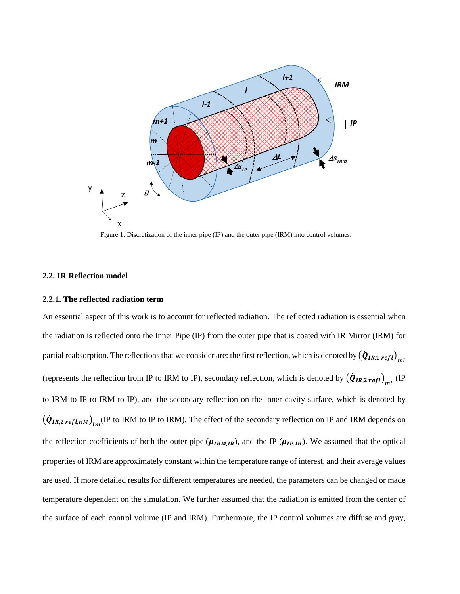

Figure 1: Discretization of the inner pipe (IP) and the outer pipe (IRM) into control volumes.

#### <span id="page-3-0"></span>**2.2. IR Reflection model**

#### **2.2.1. The reflected radiation term**

An essential aspect of this work is to account for reflected radiation. The reflected radiation is essential when the radiation is reflected onto the Inner Pipe (IP) from the outer pipe that is coated with IR Mirror (IRM) for partial reabsorption. The reflections that we consider are: the first reflection, which is denoted by  $\left(\dot{\bm{Q}}_{IR,1\;refl}\right)_{ml}$ (represents the reflection from IP to IRM to IP), secondary reflection, which is denoted by  $(\dot{Q}_{IR,2\,refl})_{ml}$  (IP) to IRM to IP to IRM to IP), and the secondary reflection on the inner cavity surface, which is denoted by  $(\dot{Q}_{IR,2\,refl,HM})_{lm}$  (IP to IRM to IP to IRM). The effect of the secondary reflection on IP and IRM depends on the reflection coefficients of both the outer pipe ( $\rho_{IRM,IR}$ ), and the IP ( $\rho_{IP,IR}$ ). We assumed that the optical properties of IRM are approximately constant within the temperature range of interest, and their average values are used. If more detailed results for different temperatures are needed, the parameters can be changed or made temperature dependent on the simulation. We further assumed that the radiation is emitted from the center of the surface of each control volume (IP and IRM). Furthermore, the IP control volumes are diffuse and gray,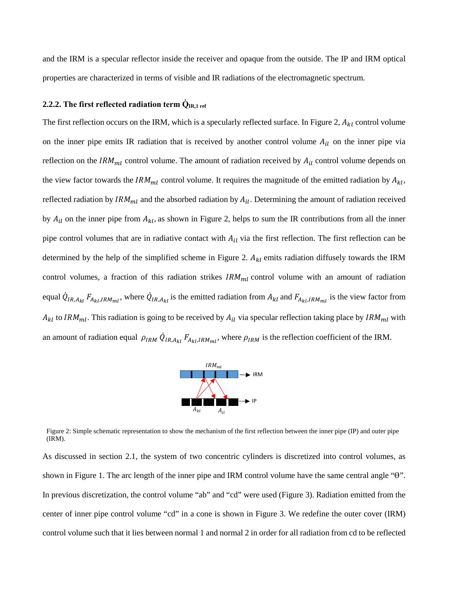and the IRM is a specular reflector inside the receiver and opaque from the outside. The IP and IRM optical properties are characterized in terms of visible and IR radiations of the electromagnetic spectrum.

## **2.2.2.** The first reflected radiation term  $\dot{Q}_{IR,1 \text{ ref}}$

The first reflection occurs on the IRM, which is a specularly reflected surface. In [Figure 2,](#page-4-0)  $A_{kl}$  control volume on the inner pipe emits IR radiation that is received by another control volume  $A_{il}$  on the inner pipe via reflection on the  $IRM<sub>ml</sub>$  control volume. The amount of radiation received by  $A<sub>il</sub>$  control volume depends on the view factor towards the  $IRM<sub>ml</sub>$  control volume. It requires the magnitude of the emitted radiation by  $A<sub>kl</sub>$ , reflected radiation by  $IRM_{ml}$  and the absorbed radiation by  $A_{il}$ . Determining the amount of radiation received by  $A_{il}$  on the inner pipe from  $A_{kl}$ , as shown in [Figure 2,](#page-4-0) helps to sum the IR contributions from all the inner pipe control volumes that are in radiative contact with  $A_{il}$  via the first reflection. The first reflection can be determined by the help of the simplified scheme in [Figure 2.](#page-4-0)  $A_{kl}$  emits radiation diffusely towards the IRM control volumes, a fraction of this radiation strikes  $IRM<sub>ml</sub>$  control volume with an amount of radiation equal  $\dot{Q}_{IR,A_{kl}}F_{A_{kl},IRM_{ml}}$ , where  $\dot{Q}_{IR,A_{kl}}$  is the emitted radiation from  $A_{kl}$  and  $F_{A_{kl},IRM_{ml}}$  is the view factor from  $A_{kl}$  to IRM<sub>ml</sub>. This radiation is going to be received by  $A_{il}$  via specular reflection taking place by IRM<sub>ml</sub> with an amount of radiation equal  $\rho_{IRM} Q_{IR,A_{kl}} F_{A_{kl}IRM_{ml}}$ , where  $\rho_{IRM}$  is the reflection coefficient of the IRM.



<span id="page-4-0"></span>Figure 2: Simple schematic representation to show the mechanism of the first reflection between the inner pipe (IP) and outer pipe (IRM).

As discussed in section 2.1, the system of two concentric cylinders is discretized into control volumes, as shown in [Figure 1.](#page-3-0) The arc length of the inner pipe and IRM control volume have the same central angle " $\theta$ ". In previous discretization, the control volume "ab" and "cd" were used [\(Figure 3\)](#page-5-0). Radiation emitted from the center of inner pipe control volume "cd" in a cone is shown in [Figure 3.](#page-5-0) We redefine the outer cover (IRM) control volume such that it lies between normal 1 and normal 2 in order for all radiation from cd to be reflected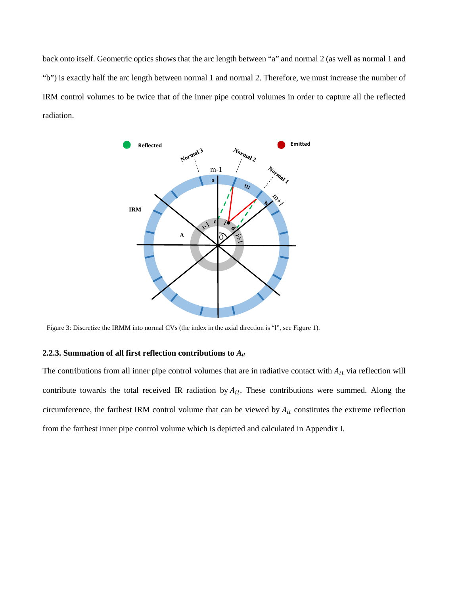back onto itself. Geometric optics shows that the arc length between "a" and normal 2 (as well as normal 1 and "b") is exactly half the arc length between normal 1 and normal 2. Therefore, we must increase the number of IRM control volumes to be twice that of the inner pipe control volumes in order to capture all the reflected radiation.



<span id="page-5-0"></span>Figure 3: Discretize the IRMM into normal CVs (the index in the axial direction is "l", see [Figure 1\)](#page-3-0).

## **2.2.3. Summation of all first reflection contributions to** *Ail*

The contributions from all inner pipe control volumes that are in radiative contact with  $A_{il}$  via reflection will contribute towards the total received IR radiation by  $A_{il}$ . These contributions were summed. Along the circumference, the farthest IRM control volume that can be viewed by  $A_{il}$  constitutes the extreme reflection from the farthest inner pipe control volume which is depicted and calculated in Appendix I.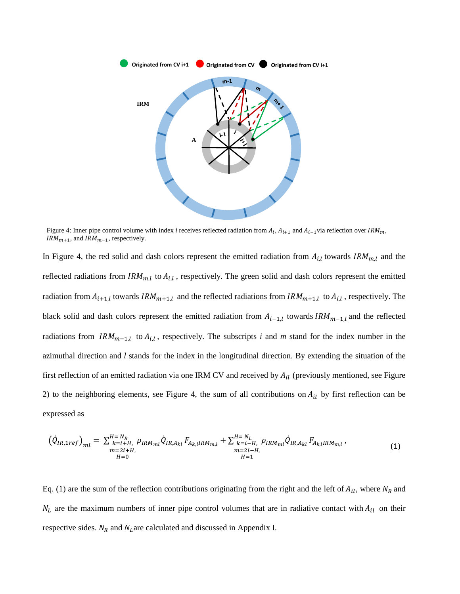

<span id="page-6-0"></span>Figure 4: Inner pipe control volume with index *i* receives reflected radiation from  $A_i$ ,  $A_{i+1}$  and  $A_{i-1}$ via reflection over  $IRM_m$ ,  $IRM_{m+1}$ , and  $IRM_{m-1}$ , respectively.

In [Figure 4,](#page-6-0) the red solid and dash colors represent the emitted radiation from  $A_{i,l}$  towards  $IRM_{m,l}$  and the reflected radiations from  $IRM_{m,l}$  to  $A_{i,l}$ , respectively. The green solid and dash colors represent the emitted radiation from  $A_{i+1,l}$  towards  $IRM_{m+1,l}$  and the reflected radiations from  $IRM_{m+1,l}$  to  $A_{i,l}$ , respectively. The black solid and dash colors represent the emitted radiation from  $A_{i-1,l}$  towards  $IRM_{m-1,l}$  and the reflected radiations from  $IRM_{m-1,l}$  to  $A_{i,l}$ , respectively. The subscripts *i* and *m* stand for the index number in the azimuthal direction and *l* stands for the index in the longitudinal direction. By extending the situation of the first reflection of an emitted radiation via one IRM CV and received by  $A_{il}$  (previously mentioned, see Figure [2\)](#page-4-0) to the neighboring elements, see [Figure 4,](#page-6-0) the sum of all contributions on  $A_{il}$  by first reflection can be expressed as

<span id="page-6-1"></span>
$$
\left(\dot{Q}_{IR,1ref}\right)_{ml} = \sum_{\substack{k=i+H,\\m=2i+H,\\H=0}}^{H=N_R} \rho_{IRM_{ml}} \dot{Q}_{IR,A_{kl}} F_{A_{k,l}IRM_{m,l}} + \sum_{\substack{k=i-H,\\m=2i-H,\\H=1}}^{H=N_L} \rho_{IRM_{ml}} \dot{Q}_{IR,A_{kl}} F_{A_{k,l}IRM_{m,l}},
$$
\n(1)

Eq. [\(1\)](#page-6-1) are the sum of the reflection contributions originating from the right and the left of  $A_{il}$ , where  $N_R$  and  $N_L$  are the maximum numbers of inner pipe control volumes that are in radiative contact with  $A_{il}$  on their respective sides.  $N_R$  and  $N_L$  are calculated and discussed in Appendix I.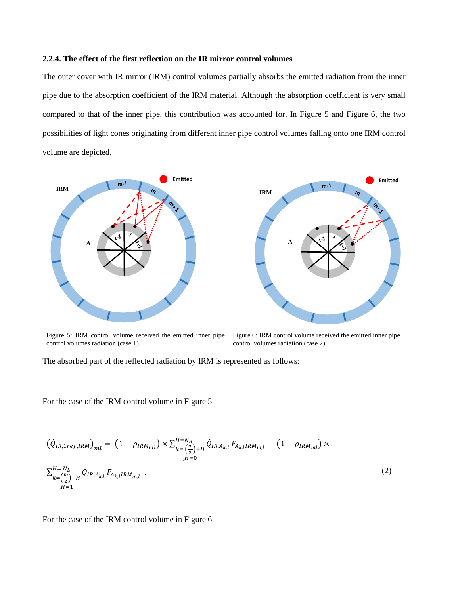#### **2.2.4. The effect of the first reflection on the IR mirror control volumes**

The outer cover with IR mirror (IRM) control volumes partially absorbs the emitted radiation from the inner pipe due to the absorption coefficient of the IRM material. Although the absorption coefficient is very small compared to that of the inner pipe, this contribution was accounted for. In [Figure 5](#page-7-0) and [Figure 6,](#page-7-1) the two possibilities of light cones originating from different inner pipe control volumes falling onto one IRM control volume are depicted.



<span id="page-7-0"></span>Figure 5: IRM control volume received the emitted inner pipe Figure 6: IRM control volume received the emitted inner pipe control volumes radiation (case 1).

<span id="page-7-1"></span>control volumes radiation (case 2).

The absorbed part of the reflected radiation by IRM is represented as follows:

For the case of the IRM control volume in [Figure 5](#page-7-0)

$$
\left(\dot{Q}_{IR,1ref,IRM}\right)_{ml} = \left(1 - \rho_{IRM_{ml}}\right) \times \sum_{k = \left(\frac{m}{2}\right) + H}^{H = N_R} \dot{Q}_{IR,A_{k,l}} F_{A_{k,l}IRM_{m,l}} + \left(1 - \rho_{IRM_{ml}}\right) \times \sum_{j,H=0}^{H = N_L} \dot{Q}_{IR,A_{k,l}} F_{A_{k,l}IRM_{m,l}}.
$$
\n
$$
\sum_{k = \left(\frac{m}{2}\right) - H}^{H = N_L} \dot{Q}_{IR,A_{k,l}} F_{A_{k,l}IRM_{m,l}}.
$$
\n(2)

For the case of the IRM control volume in [Figure 6](#page-7-1)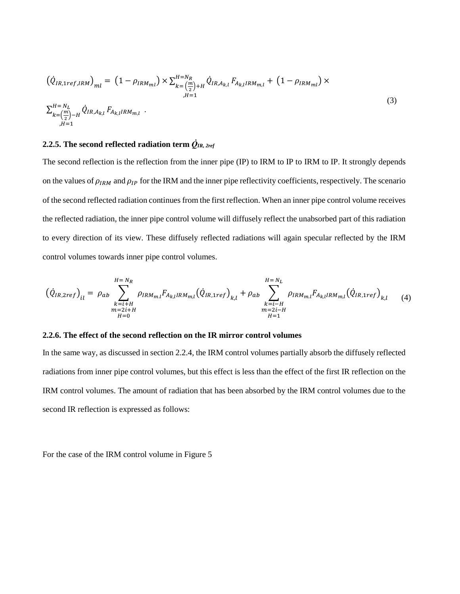$$
\left(\dot{Q}_{IR,1ref,IRM}\right)_{ml} = \left(1 - \rho_{IRM_{ml}}\right) \times \sum_{k=\left(\frac{m}{2}\right)+H}^{H=N_R} \dot{Q}_{IR,A_{k,l}} F_{A_{k,l}IRM_{m,l}} + \left(1 - \rho_{IRM_{ml}}\right) \times \sum_{l=1}^{H=N_L} \dot{Q}_{IR,A_{k,l}} F_{A_{k,l}IRM_{m,l}}.
$$
\n(3)

# **2.2.5. The second reflected radiation term**  $\dot{Q}_{IR,~2ref}$

The second reflection is the reflection from the inner pipe (IP) to IRM to IP to IRM to IP. It strongly depends on the values of  $\rho_{IRM}$  and  $\rho_{IP}$  for the IRM and the inner pipe reflectivity coefficients, respectively. The scenario of the second reflected radiation continues from the first reflection. When an inner pipe control volume receives the reflected radiation, the inner pipe control volume will diffusely reflect the unabsorbed part of this radiation to every direction of its view. These diffusely reflected radiations will again specular reflected by the IRM control volumes towards inner pipe control volumes.

$$
(\dot{Q}_{IR,2ref})_{il} = \rho_{ab} \sum_{\substack{k=i+H \\ m=2i+H \\ H=0}}^{H=N_R} \rho_{IRM_{m,l}} F_{A_{k,l}IRM_{m,l}} (\dot{Q}_{IR,1ref})_{k,l} + \rho_{ab} \sum_{\substack{k=i-H \\ m=2i-H \\ H=1}}^{H=N_L} \rho_{IRM_{m,l}} F_{A_{k,l}IRM_{m,l}} (\dot{Q}_{IR,1ref})_{k,l} \tag{4}
$$

#### **2.2.6. The effect of the second reflection on the IR mirror control volumes**

In the same way, as discussed in section 2.2.4, the IRM control volumes partially absorb the diffusely reflected radiations from inner pipe control volumes, but this effect is less than the effect of the first IR reflection on the IRM control volumes. The amount of radiation that has been absorbed by the IRM control volumes due to the second IR reflection is expressed as follows:

For the case of the IRM control volume in [Figure 5](#page-7-0)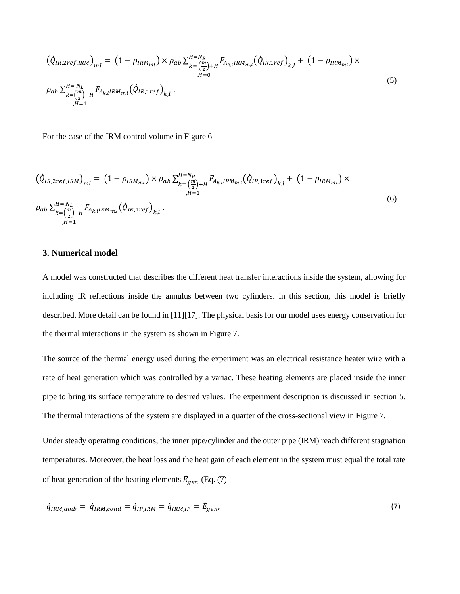$$
\left(\dot{Q}_{IR,2ref,IRM}\right)_{ml} = \left(1 - \rho_{IRM_{ml}}\right) \times \rho_{ab} \sum_{k = \left(\frac{m}{2}\right) + H}^{H = N_R} F_{A_{k,l}IRM_{m,l}} \left(\dot{Q}_{IR,1ref}\right)_{k,l} + \left(1 - \rho_{IRM_{ml}}\right) \times \rho_{ab} \sum_{k = \left(\frac{m}{2}\right) - H}^{H = N_L} F_{A_{k,l}IRM_{m,l}} \left(\dot{Q}_{IR,1ref}\right)_{k,l}.
$$
\n
$$
\rho_{ab} \sum_{k = \left(\frac{m}{2}\right) - H}^{H = N_L} F_{A_{k,l}IRM_{m,l}} \left(\dot{Q}_{IR,1ref}\right)_{k,l}.
$$
\n(5)

For the case of the IRM control volume in [Figure 6](#page-7-1)

$$
\left(\dot{Q}_{IR,2ref,IRM}\right)_{ml} = \left(1 - \rho_{IRM_{ml}}\right) \times \rho_{ab} \sum_{k=\left(\frac{m}{2}\right)+H}^{H=N_R} F_{A_{k,l}IRM_{m,l}} \left(\dot{Q}_{IR,1ref}\right)_{k,l} + \left(1 - \rho_{IRM_{ml}}\right) \times \rho_{ab} \sum_{k=\left(\frac{m}{2}\right)-H}^{H=N_L} F_{A_{k,l}IRM_{m,l}} \left(\dot{Q}_{IR,1ref}\right)_{k,l}.
$$
\n
$$
\left(\dot{Q}_{IR,1ref}\right)_{k,l} = \left(1 - \rho_{IRM_{ml}}\right) \times \rho_{ab} \sum_{k=\left(\frac{m}{2}\right)-H}^{H=N_R} F_{A_{k,l}IRM_{m,l}} \left(\dot{Q}_{IR,1ref}\right)_{k,l}.
$$
\n
$$
\tag{6}
$$

## **3. Numerical model**

A model was constructed that describes the different heat transfer interactions inside the system, allowing for including IR reflections inside the annulus between two cylinders. In this section, this model is briefly described. More detail can be found in [11][17]. The physical basis for our model uses energy conservation for the thermal interactions in the system as shown in [Figure 7.](#page-10-0)

The source of the thermal energy used during the experiment was an electrical resistance heater wire with a rate of heat generation which was controlled by a variac. These heating elements are placed inside the inner pipe to bring its surface temperature to desired values. The experiment description is discussed in section 5. The thermal interactions of the system are displayed in a quarter of the cross-sectional view in [Figure 7.](#page-10-0)

Under steady operating conditions, the inner pipe/cylinder and the outer pipe (IRM) reach different stagnation temperatures. Moreover, the heat loss and the heat gain of each element in the system must equal the total rate of heat generation of the heating elements  $\dot{E}_{gen}$  (Eq. (7)

<span id="page-9-0"></span>
$$
\dot{q}_{IRM,amb} = \dot{q}_{IRM,cond} = \dot{q}_{IP,IRM} = \dot{q}_{IRM,IP} = \dot{E}_{gen},\tag{7}
$$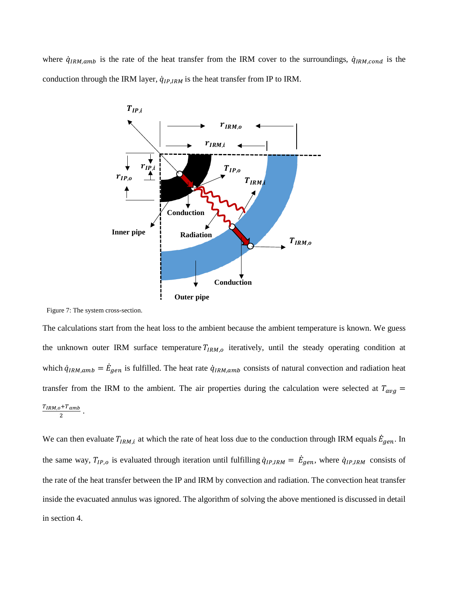where  $\dot{q}_{IRM,amb}$  is the rate of the heat transfer from the IRM cover to the surroundings,  $\dot{q}_{IRM,cond}$  is the conduction through the IRM layer,  $\dot{q}_{IP,IRM}$  is the heat transfer from IP to IRM.



<span id="page-10-0"></span>Figure 7: The system cross-section.

The calculations start from the heat loss to the ambient because the ambient temperature is known. We guess the unknown outer IRM surface temperature  $T_{IRM,0}$  iteratively, until the steady operating condition at which  $\dot{q}_{IRM,amb} = \dot{E}_{gen}$  is fulfilled. The heat rate  $\dot{q}_{IRM,amb}$  consists of natural convection and radiation heat transfer from the IRM to the ambient. The air properties during the calculation were selected at  $T_{avg}$  =  $\frac{T_{IRM,o}+T_{amb}}{2}$ .

We can then evaluate  $T_{IRM,i}$  at which the rate of heat loss due to the conduction through IRM equals  $\dot{E}_{gen}$ . In the same way,  $T_{IP,o}$  is evaluated through iteration until fulfilling  $\dot{q}_{IP,IRM} = \dot{E}_{gen}$ , where  $\dot{q}_{IP,IRM}$  consists of the rate of the heat transfer between the IP and IRM by convection and radiation. The convection heat transfer inside the evacuated annulus was ignored. The algorithm of solving the above mentioned is discussed in detail in section 4.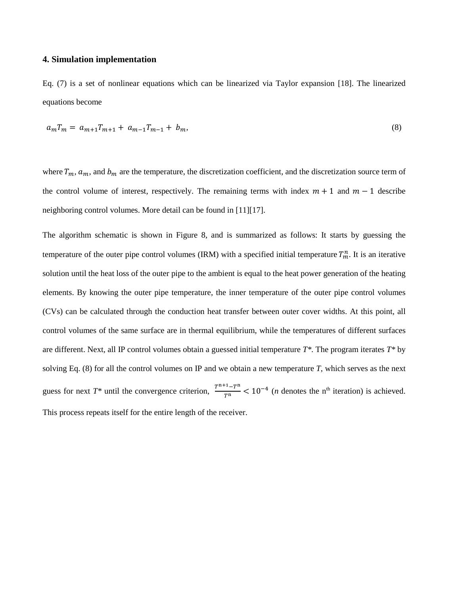## **4. Simulation implementation**

Eq. [\(7\)](#page-9-0) is a set of nonlinear equations which can be linearized via Taylor expansion [18]. The linearized equations become

<span id="page-11-0"></span>
$$
a_m T_m = a_{m+1} T_{m+1} + a_{m-1} T_{m-1} + b_m, \tag{8}
$$

where  $T_m$ ,  $a_m$ , and  $b_m$  are the temperature, the discretization coefficient, and the discretization source term of the control volume of interest, respectively. The remaining terms with index  $m + 1$  and  $m - 1$  describe neighboring control volumes. More detail can be found in [11][17].

The algorithm schematic is shown in [Figure 8,](#page-12-0) and is summarized as follows: It starts by guessing the temperature of the outer pipe control volumes (IRM) with a specified initial temperature  $T_m^n$ . It is an iterative solution until the heat loss of the outer pipe to the ambient is equal to the heat power generation of the heating elements. By knowing the outer pipe temperature, the inner temperature of the outer pipe control volumes (CVs) can be calculated through the conduction heat transfer between outer cover widths. At this point, all control volumes of the same surface are in thermal equilibrium, while the temperatures of different surfaces are different. Next, all IP control volumes obtain a guessed initial temperature *T\**. The program iterates *T\** by solving Eq. [\(8\)](#page-11-0) for all the control volumes on IP and we obtain a new temperature *T*, which serves as the next guess for next  $T^*$  until the convergence criterion,  $\frac{T^{n+1}-T^n}{T^n}$  < 10<sup>-4</sup> (*n* denotes the n<sup>th</sup> iteration) is achieved. This process repeats itself for the entire length of the receiver.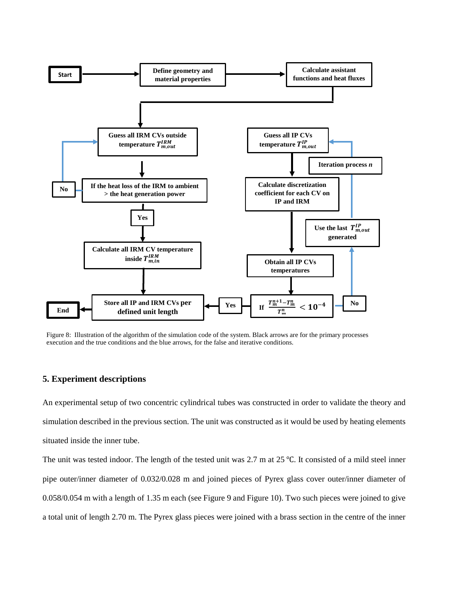

<span id="page-12-0"></span>Figure 8: Illustration of the algorithm of the simulation code of the system. Black arrows are for the primary processes execution and the true conditions and the blue arrows, for the false and iterative conditions.

## **5. Experiment descriptions**

An experimental setup of two concentric cylindrical tubes was constructed in order to validate the theory and simulation described in the previous section. The unit was constructed as it would be used by heating elements situated inside the inner tube.

The unit was tested indoor. The length of the tested unit was 2.7 m at 25 ℃. It consisted of a mild steel inner pipe outer/inner diameter of 0.032/0.028 m and joined pieces of Pyrex glass cover outer/inner diameter of 0.058/0.054 m with a length of 1.35 m each (see [Figure 9](#page-13-0) an[d Figure 10\)](#page-14-0). Two such pieces were joined to give a total unit of length 2.70 m. The Pyrex glass pieces were joined with a brass section in the centre of the inner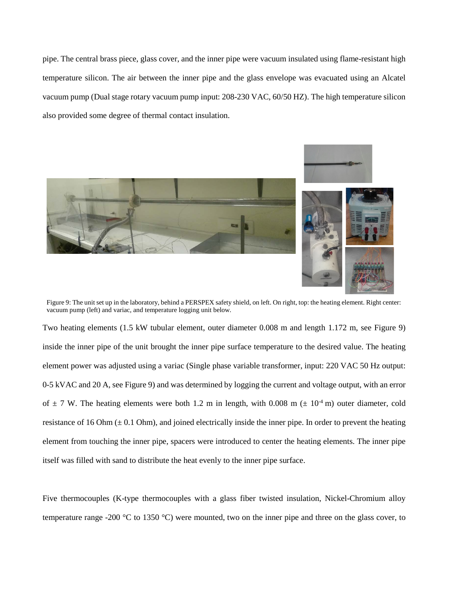pipe. The central brass piece, glass cover, and the inner pipe were vacuum insulated using flame-resistant high temperature silicon. The air between the inner pipe and the glass envelope was evacuated using an Alcatel vacuum pump (Dual stage rotary vacuum pump input: 208-230 VAC, 60/50 HZ). The high temperature silicon also provided some degree of thermal contact insulation.



Figure 9: The unit set up in the laboratory, behind a PERSPEX safety shield, on left. On right, top: the heating element. Right center: vacuum pump (left) and variac, and temperature logging unit below.

<span id="page-13-0"></span>Two heating elements (1.5 kW tubular element, outer diameter 0.008 m and length 1.172 m, see [Figure 9\)](#page-13-0) inside the inner pipe of the unit brought the inner pipe surface temperature to the desired value. The heating element power was adjusted using a variac (Single phase variable transformer, input: 220 VAC 50 Hz output: 0-5 kVAC and 20 A, see [Figure 9\)](#page-13-0) and was determined by logging the current and voltage output, with an error of  $\pm$  7 W. The heating elements were both 1.2 m in length, with 0.008 m ( $\pm$  10<sup>-4</sup> m) outer diameter, cold resistance of 16 Ohm  $(\pm 0.1 \text{ Ohm})$ , and joined electrically inside the inner pipe. In order to prevent the heating element from touching the inner pipe, spacers were introduced to center the heating elements. The inner pipe itself was filled with sand to distribute the heat evenly to the inner pipe surface.

Five thermocouples (K-type thermocouples with a glass fiber twisted insulation, Nickel-Chromium alloy temperature range -200 °C to 1350 °C) were mounted, two on the inner pipe and three on the glass cover, to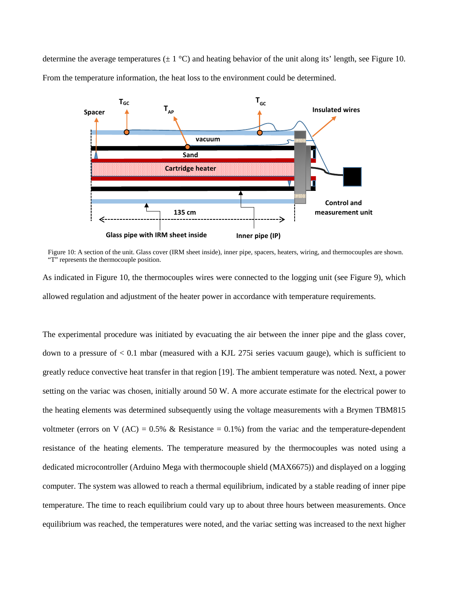determine the average temperatures ( $\pm 1^{\circ}$ C) and heating behavior of the unit along its' length, see Figure 10. From the temperature information, the heat loss to the environment could be determined.



<span id="page-14-0"></span>Figure 10: A section of the unit. Glass cover (IRM sheet inside), inner pipe, spacers, heaters, wiring, and thermocouples are shown. "T" represents the thermocouple position.

As indicated in [Figure 10,](#page-14-0) the thermocouples wires were connected to the logging unit (see [Figure 9\)](#page-13-0), which allowed regulation and adjustment of the heater power in accordance with temperature requirements.

The experimental procedure was initiated by evacuating the air between the inner pipe and the glass cover, down to a pressure of < 0.1 mbar (measured with a KJL 275i series vacuum gauge), which is sufficient to greatly reduce convective heat transfer in that region [19]. The ambient temperature was noted. Next, a power setting on the variac was chosen, initially around 50 W. A more accurate estimate for the electrical power to the heating elements was determined subsequently using the voltage measurements with a Brymen TBM815 voltmeter (errors on V (AC) = 0.5% & Resistance = 0.1%) from the variac and the temperature-dependent resistance of the heating elements. The temperature measured by the thermocouples was noted using a dedicated microcontroller (Arduino Mega with thermocouple shield (MAX6675)) and displayed on a logging computer. The system was allowed to reach a thermal equilibrium, indicated by a stable reading of inner pipe temperature. The time to reach equilibrium could vary up to about three hours between measurements. Once equilibrium was reached, the temperatures were noted, and the variac setting was increased to the next higher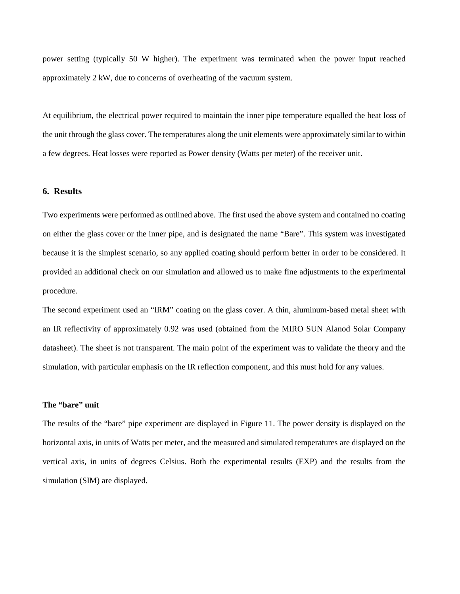power setting (typically 50 W higher). The experiment was terminated when the power input reached approximately 2 kW, due to concerns of overheating of the vacuum system.

At equilibrium, the electrical power required to maintain the inner pipe temperature equalled the heat loss of the unit through the glass cover. The temperatures along the unit elements were approximately similar to within a few degrees. Heat losses were reported as Power density (Watts per meter) of the receiver unit.

## **6. Results**

Two experiments were performed as outlined above. The first used the above system and contained no coating on either the glass cover or the inner pipe, and is designated the name "Bare". This system was investigated because it is the simplest scenario, so any applied coating should perform better in order to be considered. It provided an additional check on our simulation and allowed us to make fine adjustments to the experimental procedure.

The second experiment used an "IRM" coating on the glass cover. A thin, aluminum-based metal sheet with an IR reflectivity of approximately 0.92 was used (obtained from the MIRO SUN Alanod Solar Company datasheet). The sheet is not transparent. The main point of the experiment was to validate the theory and the simulation, with particular emphasis on the IR reflection component, and this must hold for any values.

## **The "bare" unit**

The results of the "bare" pipe experiment are displayed in [Figure 11.](#page-16-0) The power density is displayed on the horizontal axis, in units of Watts per meter, and the measured and simulated temperatures are displayed on the vertical axis, in units of degrees Celsius. Both the experimental results (EXP) and the results from the simulation (SIM) are displayed.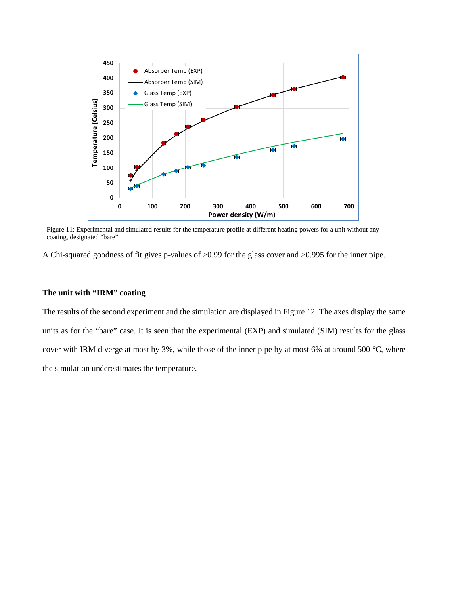

<span id="page-16-0"></span>Figure 11: Experimental and simulated results for the temperature profile at different heating powers for a unit without any coating, designated "bare".

A Chi-squared goodness of fit gives p-values of >0.99 for the glass cover and >0.995 for the inner pipe.

### **The unit with "IRM" coating**

The results of the second experiment and the simulation are displayed in [Figure 12.](#page-17-0) The axes display the same units as for the "bare" case. It is seen that the experimental (EXP) and simulated (SIM) results for the glass cover with IRM diverge at most by 3%, while those of the inner pipe by at most 6% at around 500 °C, where the simulation underestimates the temperature.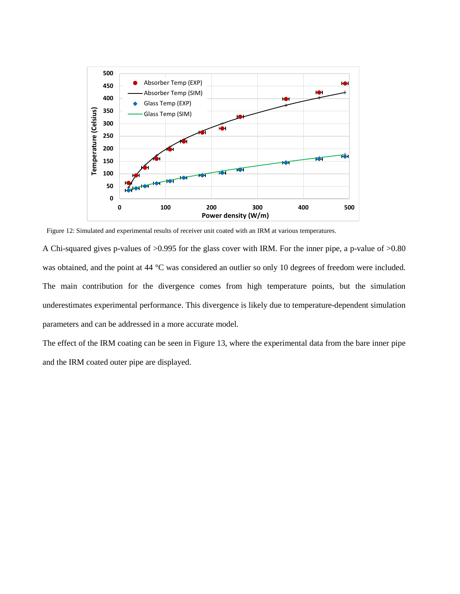

<span id="page-17-0"></span>Figure 12: Simulated and experimental results of receiver unit coated with an IRM at various temperatures.

A Chi-squared gives p-values of >0.995 for the glass cover with IRM. For the inner pipe, a p-value of >0.80 was obtained, and the point at 44 °C was considered an outlier so only 10 degrees of freedom were included. The main contribution for the divergence comes from high temperature points, but the simulation underestimates experimental performance. This divergence is likely due to temperature-dependent simulation parameters and can be addressed in a more accurate model.

The effect of the IRM coating can be seen in [Figure 13,](#page-18-0) where the experimental data from the bare inner pipe and the IRM coated outer pipe are displayed.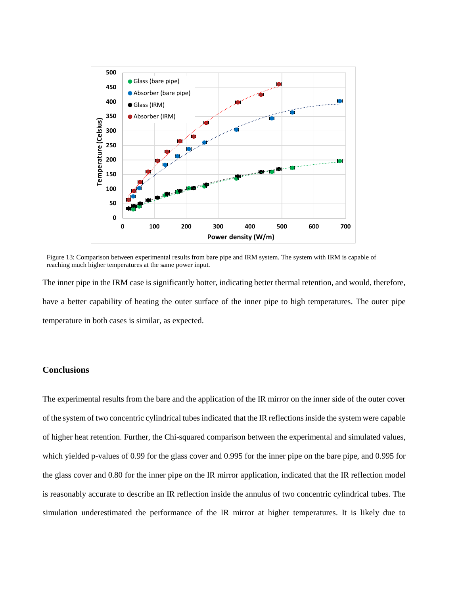

<span id="page-18-0"></span>Figure 13: Comparison between experimental results from bare pipe and IRM system. The system with IRM is capable of reaching much higher temperatures at the same power input.

The inner pipe in the IRM case is significantly hotter, indicating better thermal retention, and would, therefore, have a better capability of heating the outer surface of the inner pipe to high temperatures. The outer pipe temperature in both cases is similar, as expected.

## **Conclusions**

The experimental results from the bare and the application of the IR mirror on the inner side of the outer cover of the system of two concentric cylindrical tubes indicated that the IR reflections inside the system were capable of higher heat retention. Further, the Chi-squared comparison between the experimental and simulated values, which yielded p-values of 0.99 for the glass cover and 0.995 for the inner pipe on the bare pipe, and 0.995 for the glass cover and 0.80 for the inner pipe on the IR mirror application, indicated that the IR reflection model is reasonably accurate to describe an IR reflection inside the annulus of two concentric cylindrical tubes. The simulation underestimated the performance of the IR mirror at higher temperatures. It is likely due to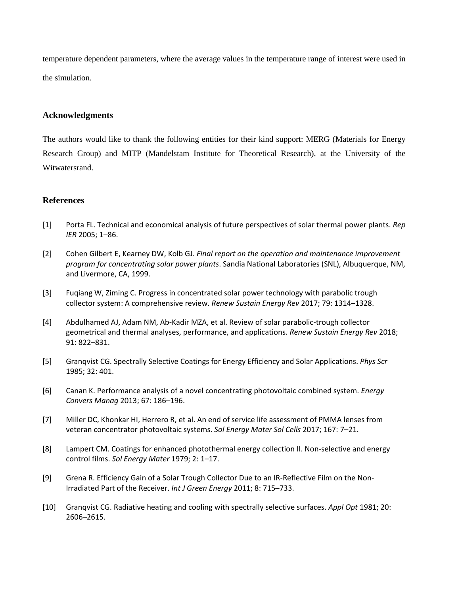temperature dependent parameters, where the average values in the temperature range of interest were used in the simulation.

## **Acknowledgments**

The authors would like to thank the following entities for their kind support: MERG (Materials for Energy Research Group) and MITP (Mandelstam Institute for Theoretical Research), at the University of the Witwatersrand.

## **References**

- [1] Porta FL. Technical and economical analysis of future perspectives of solar thermal power plants. *Rep IER* 2005; 1–86.
- [2] Cohen Gilbert E, Kearney DW, Kolb GJ. *Final report on the operation and maintenance improvement program for concentrating solar power plants*. Sandia National Laboratories (SNL), Albuquerque, NM, and Livermore, CA, 1999.
- [3] Fuqiang W, Ziming C. Progress in concentrated solar power technology with parabolic trough collector system: A comprehensive review. *Renew Sustain Energy Rev* 2017; 79: 1314–1328.
- [4] Abdulhamed AJ, Adam NM, Ab-Kadir MZA, et al. Review of solar parabolic-trough collector geometrical and thermal analyses, performance, and applications. *Renew Sustain Energy Rev* 2018; 91: 822–831.
- [5] Granqvist CG. Spectrally Selective Coatings for Energy Efficiency and Solar Applications. *Phys Scr* 1985; 32: 401.
- [6] Canan K. Performance analysis of a novel concentrating photovoltaic combined system. *Energy Convers Manag* 2013; 67: 186–196.
- [7] Miller DC, Khonkar HI, Herrero R, et al. An end of service life assessment of PMMA lenses from veteran concentrator photovoltaic systems. *Sol Energy Mater Sol Cells* 2017; 167: 7–21.
- [8] Lampert CM. Coatings for enhanced photothermal energy collection II. Non-selective and energy control films. *Sol Energy Mater* 1979; 2: 1–17.
- [9] Grena R. Efficiency Gain of a Solar Trough Collector Due to an IR-Reflective Film on the Non-Irradiated Part of the Receiver. *Int J Green Energy* 2011; 8: 715–733.
- [10] Granqvist CG. Radiative heating and cooling with spectrally selective surfaces. *Appl Opt* 1981; 20: 2606–2615.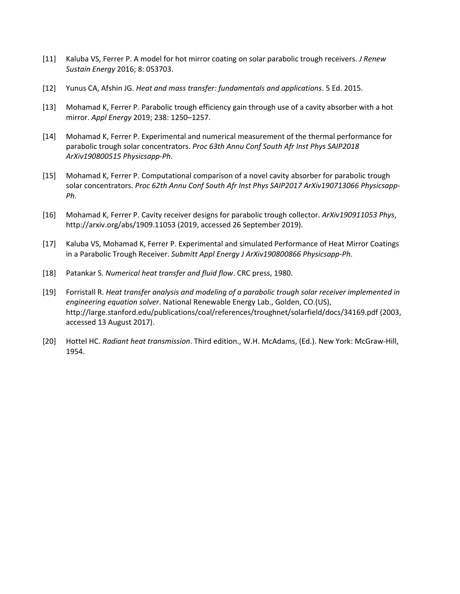- [11] Kaluba VS, Ferrer P. A model for hot mirror coating on solar parabolic trough receivers. *J Renew Sustain Energy* 2016; 8: 053703.
- [12] Yunus CA, Afshin JG. *Heat and mass transfer: fundamentals and applications*. 5 Ed. 2015.
- [13] Mohamad K, Ferrer P. Parabolic trough efficiency gain through use of a cavity absorber with a hot mirror. *Appl Energy* 2019; 238: 1250–1257.
- [14] Mohamad K, Ferrer P. Experimental and numerical measurement of the thermal performance for parabolic trough solar concentrators. *Proc 63th Annu Conf South Afr Inst Phys SAIP2018 ArXiv190800515 Physicsapp-Ph*.
- [15] Mohamad K, Ferrer P. Computational comparison of a novel cavity absorber for parabolic trough solar concentrators. *Proc 62th Annu Conf South Afr Inst Phys SAIP2017 ArXiv190713066 Physicsapp-Ph*.
- [16] Mohamad K, Ferrer P. Cavity receiver designs for parabolic trough collector. *ArXiv190911053 Phys*, http://arxiv.org/abs/1909.11053 (2019, accessed 26 September 2019).
- [17] Kaluba VS, Mohamad K, Ferrer P. Experimental and simulated Performance of Heat Mirror Coatings in a Parabolic Trough Receiver. *Submitt Appl Energy J ArXiv190800866 Physicsapp-Ph*.
- [18] Patankar S. *Numerical heat transfer and fluid flow*. CRC press, 1980.
- [19] Forristall R. *Heat transfer analysis and modeling of a parabolic trough solar receiver implemented in engineering equation solver*. National Renewable Energy Lab., Golden, CO.(US), http://large.stanford.edu/publications/coal/references/troughnet/solarfield/docs/34169.pdf (2003, accessed 13 August 2017).
- [20] Hottel HC. *Radiant heat transmission*. Third edition., W.H. McAdams, (Ed.). New York: McGraw-Hill, 1954.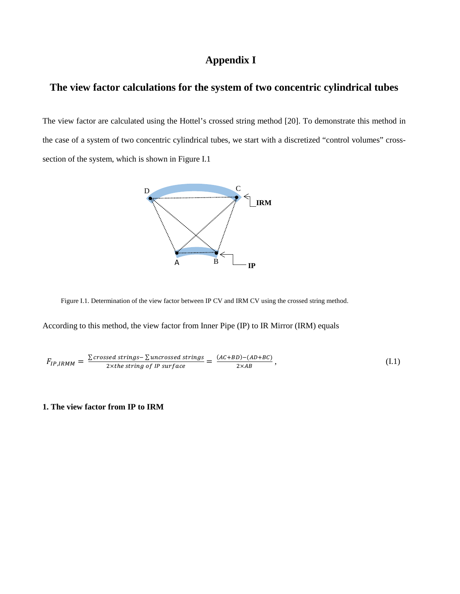# **Appendix I**

# **The view factor calculations for the system of two concentric cylindrical tubes**

The view factor are calculated using the Hottel's crossed string method [20]. To demonstrate this method in the case of a system of two concentric cylindrical tubes, we start with a discretized "control volumes" crosssection of the system, which is shown in Figure I.1



Figure I.1. Determination of the view factor between IP CV and IRM CV using the crossed string method.

According to this method, the view factor from Inner Pipe (IP) to IR Mirror (IRM) equals

$$
F_{IP,IRMM} = \frac{\sum\text{crossed strings} - \sum\text{uncrossed strings}}{2 \times \text{the string of IP surface}} = \frac{(AC + BD) - (AD + BC)}{2 \times AB},
$$
\n(1.1)

## **1. The view factor from IP to IRM**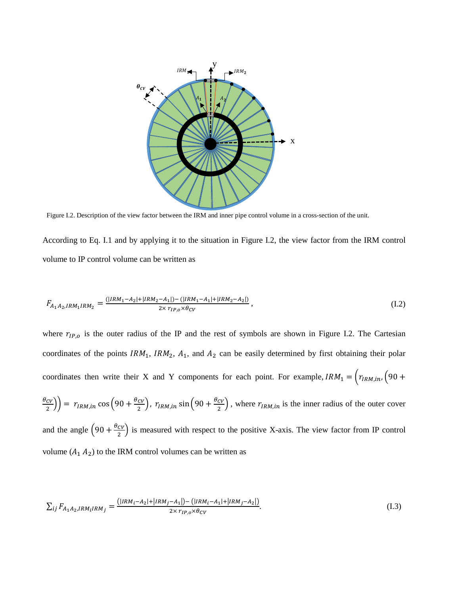

Figure I.2. Description of the view factor between the IRM and inner pipe control volume in a cross-section of the unit.

According to Eq. I.1 and by applying it to the situation in Figure I.2, the view factor from the IRM control volume to IP control volume can be written as

$$
F_{A_1A_2,IRM_1IRM_2} = \frac{(|IRM_1 - A_2| + |IRM_2 - A_1|) - (|IRM_1 - A_1| + |IRM_2 - A_2|)}{2 \times r_{IP,o} \times \theta_{CV}},
$$
\n(1.2)

where  $r_{IP,o}$  is the outer radius of the IP and the rest of symbols are shown in Figure I.2. The Cartesian coordinates of the points  $IRM_1$ ,  $IRM_2$ ,  $A_1$ , and  $A_2$  can be easily determined by first obtaining their polar coordinates then write their X and Y components for each point. For example,  $IRM_1 = \left( r_{IRM, in} \right) \left( 90 + \frac{1}{2} \right)$  $\left(\frac{\theta_{CV}}{2}\right)$  =  $r_{IRM,in}$  cos  $\left(90 + \frac{\theta_{CV}}{2}\right)$ ,  $r_{IRM,in}$  sin  $\left(90 + \frac{\theta_{CV}}{2}\right)$ , where  $r_{IRM,in}$  is the inner radius of the outer cover and the angle  $\left(90 + \frac{\theta_{CV}}{2}\right)$  is measured with respect to the positive X-axis. The view factor from IP control volume  $(A_1 \ A_2)$  to the IRM control volumes can be written as

$$
\sum_{ij} F_{A_1 A_2, IRM_l IRM_j} = \frac{(|IRM_i - A_2| + |IRM_j - A_1|) - (|IRM_i - A_1| + |IRM_j - A_2|)}{2 \times r_{IP,o} \times \theta_{CV}}.
$$
\n(1.3)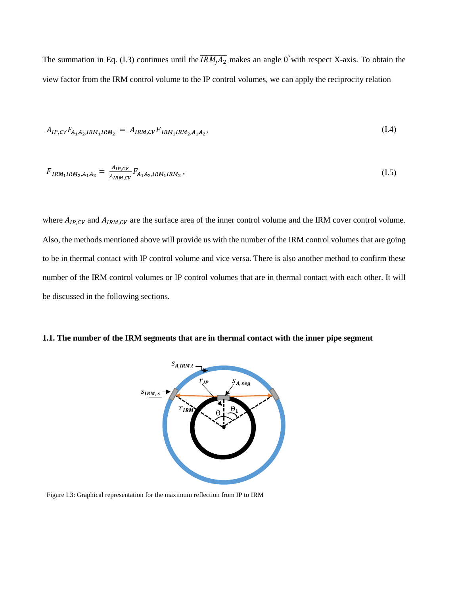The summation in Eq. (I.3) continues until the  $\overline{IRM_jA_2}$  makes an angle 0° with respect X-axis. To obtain the view factor from the IRM control volume to the IP control volumes, we can apply the reciprocity relation

$$
A_{IP,CV}F_{A_1A_2,IRM_1IRM_2} = A_{IRM,CV}F_{IRM_1IRM_2,A_1A_2},\tag{I.4}
$$

$$
F_{IRM_1IRM_2,A_1A_2} = \frac{A_{IP,CV}}{A_{IRM,CV}} F_{A_1A_2,IRM_1IRM_2},
$$
\n(1.5)

where  $A_{IP,CV}$  and  $A_{IRM,CV}$  are the surface area of the inner control volume and the IRM cover control volume. Also, the methods mentioned above will provide us with the number of the IRM control volumes that are going to be in thermal contact with IP control volume and vice versa. There is also another method to confirm these number of the IRM control volumes or IP control volumes that are in thermal contact with each other. It will be discussed in the following sections.

## **1.1. The number of the IRM segments that are in thermal contact with the inner pipe segment**



Figure I.3: Graphical representation for the maximum reflection from IP to IRM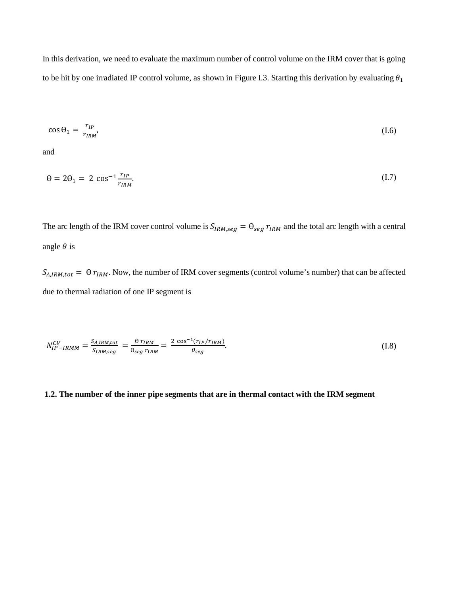In this derivation, we need to evaluate the maximum number of control volume on the IRM cover that is going to be hit by one irradiated IP control volume, as shown in Figure I.3. Starting this derivation by evaluating  $\theta_1$ 

$$
\cos \theta_1 = \frac{r_{IP}}{r_{IRM}},\tag{I.6}
$$

and

$$
\theta = 2\theta_1 = 2\cos^{-1}\frac{r_{IP}}{r_{IRM}}.\tag{I.7}
$$

The arc length of the IRM cover control volume is  $S_{IRM,seg} = \Theta_{seg} r_{IRM}$  and the total arc length with a central angle  $\theta$  is

 $S_{A,IRM,tot} = \Theta r_{IRM}$ . Now, the number of IRM cover segments (control volume's number) that can be affected due to thermal radiation of one IP segment is

$$
N_{IP-IRMM}^{CV} = \frac{S_{A,IRM,tot}}{S_{IRM,seg}} = \frac{\theta r_{IRM}}{\theta_{seg} r_{IRM}} = \frac{2 \cos^{-1}(r_{IP}/r_{IRM})}{\theta_{seg}}.
$$
\n(1.8)

## **1.2. The number of the inner pipe segments that are in thermal contact with the IRM segment**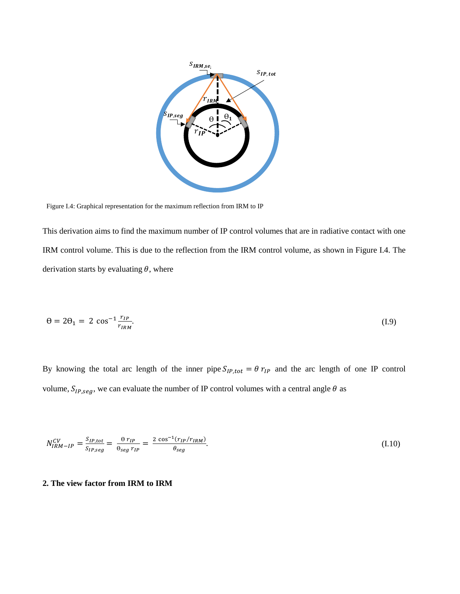

Figure I.4: Graphical representation for the maximum reflection from IRM to IP

This derivation aims to find the maximum number of IP control volumes that are in radiative contact with one IRM control volume. This is due to the reflection from the IRM control volume, as shown in Figure I.4. The derivation starts by evaluating  $\theta$ , where

$$
\theta = 2\theta_1 = 2\cos^{-1}\frac{r_{IP}}{r_{IRM}}.\tag{I.9}
$$

By knowing the total arc length of the inner pipe  $S_{IP,tot} = \theta r_{IP}$  and the arc length of one IP control volume,  $S_{IP,seg}$ , we can evaluate the number of IP control volumes with a central angle  $\theta$  as

$$
N_{IRM-IP}^{CV} = \frac{S_{IP,tot}}{S_{IP,seg}} = \frac{\theta r_{IP}}{\theta_{seg} r_{IP}} = \frac{2 \cos^{-1}(r_{IP}/r_{IRM})}{\theta_{seg}}.
$$
\n(1.10)

## **2. The view factor from IRM to IRM**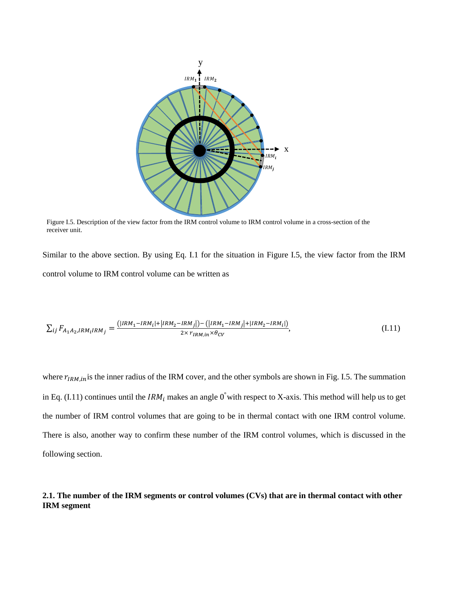

Figure I.5. Description of the view factor from the IRM control volume to IRM control volume in a cross-section of the receiver unit.

Similar to the above section. By using Eq. I.1 for the situation in Figure I.5, the view factor from the IRM control volume to IRM control volume can be written as

$$
\sum_{ij} F_{A_1 A_2, IRM_l IRM_j} = \frac{(|IRM_1 - IRM_l| + |IRM_2 - IRM_j|) - (|IRM_1 - IRM_j| + |IRM_2 - IRM_l|)}{2 \times r_{IRM_l in} \times \theta_{CV}},
$$
\n(I.11)

where  $r_{IRM,in}$  is the inner radius of the IRM cover, and the other symbols are shown in Fig. I.5. The summation in Eq. (I.11) continues until the  $IRM_i$  makes an angle 0<sup>°</sup> with respect to X-axis. This method will help us to get the number of IRM control volumes that are going to be in thermal contact with one IRM control volume. There is also, another way to confirm these number of the IRM control volumes, which is discussed in the following section.

## **2.1. The number of the IRM segments or control volumes (CVs) that are in thermal contact with other IRM segment**